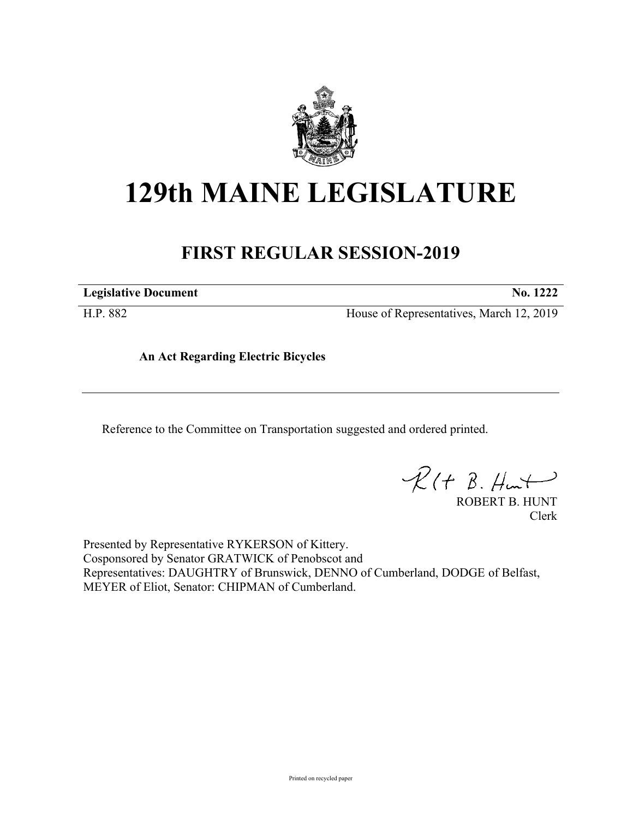

## **129th MAINE LEGISLATURE**

## **FIRST REGULAR SESSION-2019**

**Legislative Document No. 1222**

H.P. 882 House of Representatives, March 12, 2019

**An Act Regarding Electric Bicycles**

Reference to the Committee on Transportation suggested and ordered printed.

 $R(H B. Hurt)$ 

ROBERT B. HUNT Clerk

Presented by Representative RYKERSON of Kittery. Cosponsored by Senator GRATWICK of Penobscot and Representatives: DAUGHTRY of Brunswick, DENNO of Cumberland, DODGE of Belfast, MEYER of Eliot, Senator: CHIPMAN of Cumberland.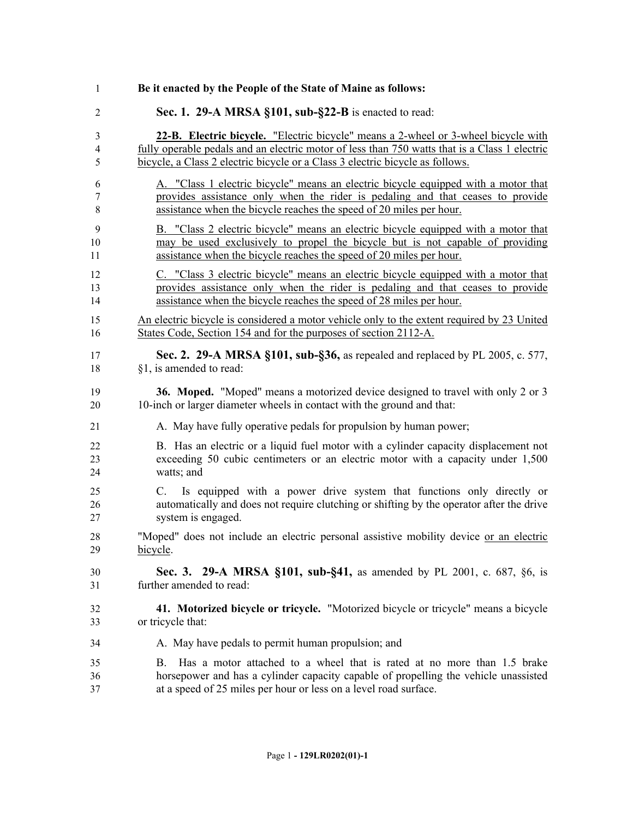| 1              | Be it enacted by the People of the State of Maine as follows:                                                                                                                                                                            |
|----------------|------------------------------------------------------------------------------------------------------------------------------------------------------------------------------------------------------------------------------------------|
| $\overline{2}$ | Sec. 1. 29-A MRSA §101, sub-§22-B is enacted to read:                                                                                                                                                                                    |
| $\mathfrak{Z}$ | 22-B. Electric bicycle. "Electric bicycle" means a 2-wheel or 3-wheel bicycle with                                                                                                                                                       |
| $\overline{4}$ | fully operable pedals and an electric motor of less than 750 watts that is a Class 1 electric                                                                                                                                            |
| 5              | bicycle, a Class 2 electric bicycle or a Class 3 electric bicycle as follows.                                                                                                                                                            |
| 6              | A. "Class 1 electric bicycle" means an electric bicycle equipped with a motor that                                                                                                                                                       |
| 7              | provides assistance only when the rider is pedaling and that ceases to provide                                                                                                                                                           |
| 8              | assistance when the bicycle reaches the speed of 20 miles per hour.                                                                                                                                                                      |
| 9              | B. "Class 2 electric bicycle" means an electric bicycle equipped with a motor that                                                                                                                                                       |
| 10             | may be used exclusively to propel the bicycle but is not capable of providing                                                                                                                                                            |
| 11             | assistance when the bicycle reaches the speed of 20 miles per hour.                                                                                                                                                                      |
| 12             | C. "Class 3 electric bicycle" means an electric bicycle equipped with a motor that                                                                                                                                                       |
| 13             | provides assistance only when the rider is pedaling and that ceases to provide                                                                                                                                                           |
| 14             | assistance when the bicycle reaches the speed of 28 miles per hour.                                                                                                                                                                      |
| 15             | An electric bicycle is considered a motor vehicle only to the extent required by 23 United                                                                                                                                               |
| 16             | States Code, Section 154 and for the purposes of section 2112-A.                                                                                                                                                                         |
| 17             | Sec. 2. 29-A MRSA §101, sub-§36, as repealed and replaced by PL 2005, c. 577,                                                                                                                                                            |
| 18             | §1, is amended to read:                                                                                                                                                                                                                  |
| 19             | 36. Moped. "Moped" means a motorized device designed to travel with only 2 or 3                                                                                                                                                          |
| 20             | 10-inch or larger diameter wheels in contact with the ground and that:                                                                                                                                                                   |
| 21             | A. May have fully operative pedals for propulsion by human power;                                                                                                                                                                        |
| 22             | B. Has an electric or a liquid fuel motor with a cylinder capacity displacement not                                                                                                                                                      |
| 23             | exceeding 50 cubic centimeters or an electric motor with a capacity under 1,500                                                                                                                                                          |
| 24             | watts; and                                                                                                                                                                                                                               |
| 25<br>26<br>27 | Is equipped with a power drive system that functions only directly or<br>C.<br>automatically and does not require clutching or shifting by the operator after the drive<br>system is engaged.                                            |
| 28             | "Moped" does not include an electric personal assistive mobility device or an electric                                                                                                                                                   |
| 29             | bicycle.                                                                                                                                                                                                                                 |
| 30             | Sec. 3. 29-A MRSA §101, sub-§41, as amended by PL 2001, c. 687, §6, is                                                                                                                                                                   |
| 31             | further amended to read:                                                                                                                                                                                                                 |
| 32             | 41. Motorized bicycle or tricycle. "Motorized bicycle or tricycle" means a bicycle                                                                                                                                                       |
| 33             | or tricycle that:                                                                                                                                                                                                                        |
| 34             | A. May have pedals to permit human propulsion; and                                                                                                                                                                                       |
| 35<br>36<br>37 | Has a motor attached to a wheel that is rated at no more than 1.5 brake<br>B.<br>horsepower and has a cylinder capacity capable of propelling the vehicle unassisted<br>at a speed of 25 miles per hour or less on a level road surface. |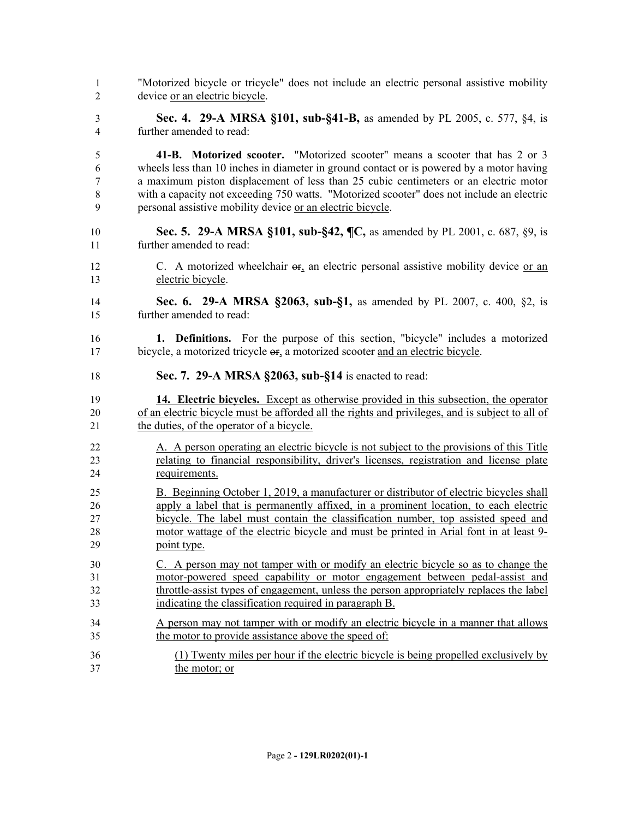"Motorized bicycle or tricycle" does not include an electric personal assistive mobility device or an electric bicycle. **Sec. 4. 29-A MRSA §101, sub-§41-B,** as amended by PL 2005, c. 577, §4, is further amended to read: **41-B. Motorized scooter.** "Motorized scooter" means a scooter that has 2 or 3 wheels less than 10 inches in diameter in ground contact or is powered by a motor having a maximum piston displacement of less than 25 cubic centimeters or an electric motor with a capacity not exceeding 750 watts. "Motorized scooter" does not include an electric personal assistive mobility device or an electric bicycle. **Sec. 5. 29-A MRSA §101, sub-§42, ¶C,** as amended by PL 2001, c. 687, §9, is further amended to read: 12 C. A motorized wheelchair  $\sigma$ <sub>r</sub> an electric personal assistive mobility device or an electric bicycle. **Sec. 6. 29-A MRSA §2063, sub-§1,** as amended by PL 2007, c. 400, §2, is further amended to read: **1. Definitions.** For the purpose of this section, "bicycle" includes a motorized bicycle, a motorized tricycle or, a motorized scooter and an electric bicycle. **Sec. 7. 29-A MRSA §2063, sub-§14** is enacted to read: **14. Electric bicycles.** Except as otherwise provided in this subsection, the operator of an electric bicycle must be afforded all the rights and privileges, and is subject to all of the duties, of the operator of a bicycle. A. A person operating an electric bicycle is not subject to the provisions of this Title relating to financial responsibility, driver's licenses, registration and license plate requirements. B. Beginning October 1, 2019, a manufacturer or distributor of electric bicycles shall apply a label that is permanently affixed, in a prominent location, to each electric bicycle. The label must contain the classification number, top assisted speed and motor wattage of the electric bicycle and must be printed in Arial font in at least 9- point type. C. A person may not tamper with or modify an electric bicycle so as to change the motor-powered speed capability or motor engagement between pedal-assist and throttle-assist types of engagement, unless the person appropriately replaces the label indicating the classification required in paragraph B. A person may not tamper with or modify an electric bicycle in a manner that allows the motor to provide assistance above the speed of: (1) Twenty miles per hour if the electric bicycle is being propelled exclusively by the motor; or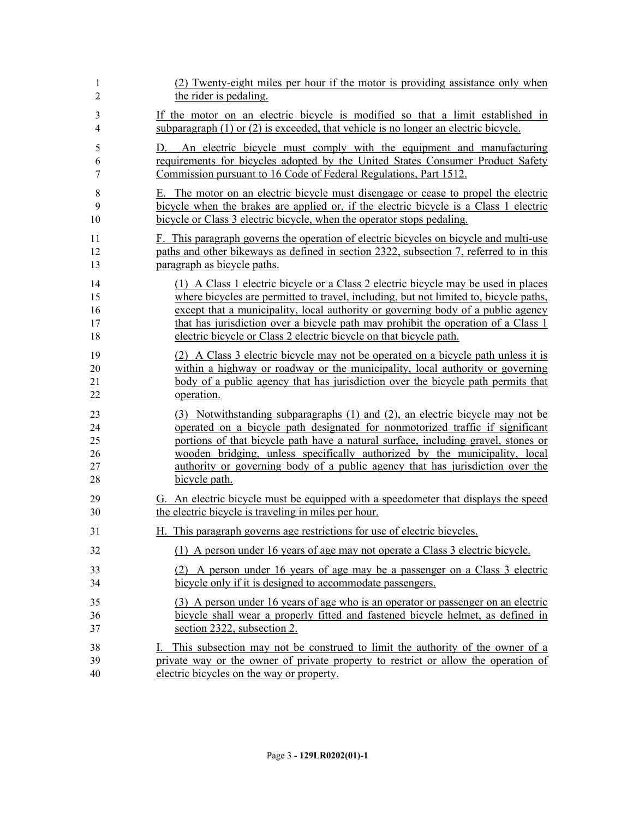| 1              | (2) Twenty-eight miles per hour if the motor is providing assistance only when          |
|----------------|-----------------------------------------------------------------------------------------|
| $\overline{2}$ | the rider is pedaling.                                                                  |
| 3              | If the motor on an electric bicycle is modified so that a limit established in          |
| $\overline{4}$ | subparagraph $(1)$ or $(2)$ is exceeded, that vehicle is no longer an electric bicycle. |
| 5              | D. An electric bicycle must comply with the equipment and manufacturing                 |
| 6              | requirements for bicycles adopted by the United States Consumer Product Safety          |
| $\tau$         | Commission pursuant to 16 Code of Federal Regulations, Part 1512.                       |
| 8              | E. The motor on an electric bicycle must disengage or cease to propel the electric      |
| 9              | bicycle when the brakes are applied or, if the electric bicycle is a Class 1 electric   |
| 10             | bicycle or Class 3 electric bicycle, when the operator stops pedaling.                  |
| 11             | F. This paragraph governs the operation of electric bicycles on bicycle and multi-use   |
| 12             | paths and other bikeways as defined in section 2322, subsection 7, referred to in this  |
| 13             | paragraph as bicycle paths.                                                             |
| 14             | (1) A Class 1 electric bicycle or a Class 2 electric bicycle may be used in places      |
| 15             | where bicycles are permitted to travel, including, but not limited to, bicycle paths,   |
| 16             | except that a municipality, local authority or governing body of a public agency        |
| 17             | that has jurisdiction over a bicycle path may prohibit the operation of a Class 1       |
| 18             | electric bicycle or Class 2 electric bicycle on that bicycle path.                      |
| 19             | (2) A Class 3 electric bicycle may not be operated on a bicycle path unless it is       |
| 20             | within a highway or roadway or the municipality, local authority or governing           |
| 21             | body of a public agency that has jurisdiction over the bicycle path permits that        |
| 22             | operation.                                                                              |
| 23             | (3) Notwithstanding subparagraphs (1) and (2), an electric bicycle may not be           |
| 24             | operated on a bicycle path designated for nonmotorized traffic if significant           |
| 25             | portions of that bicycle path have a natural surface, including gravel, stones or       |
| 26             | wooden bridging, unless specifically authorized by the municipality, local              |
| 27             | authority or governing body of a public agency that has jurisdiction over the           |
| 28             | bicycle path.                                                                           |
| 29             | G. An electric bicycle must be equipped with a speedometer that displays the speed      |
| 30             | the electric bicycle is traveling in miles per hour.                                    |
| 31             | H. This paragraph governs age restrictions for use of electric bicycles.                |
| 32             | (1) A person under 16 years of age may not operate a Class 3 electric bicycle.          |
| 33             | (2) A person under 16 years of age may be a passenger on a Class 3 electric             |
| 34             | bicycle only if it is designed to accommodate passengers.                               |
| 35             | (3) A person under 16 years of age who is an operator or passenger on an electric       |
| 36             | bicycle shall wear a properly fitted and fastened bicycle helmet, as defined in         |
| 37             | section 2322, subsection 2.                                                             |
| 38             | This subsection may not be construed to limit the authority of the owner of a           |
| 39             | private way or the owner of private property to restrict or allow the operation of      |
| 40             | electric bicycles on the way or property.                                               |